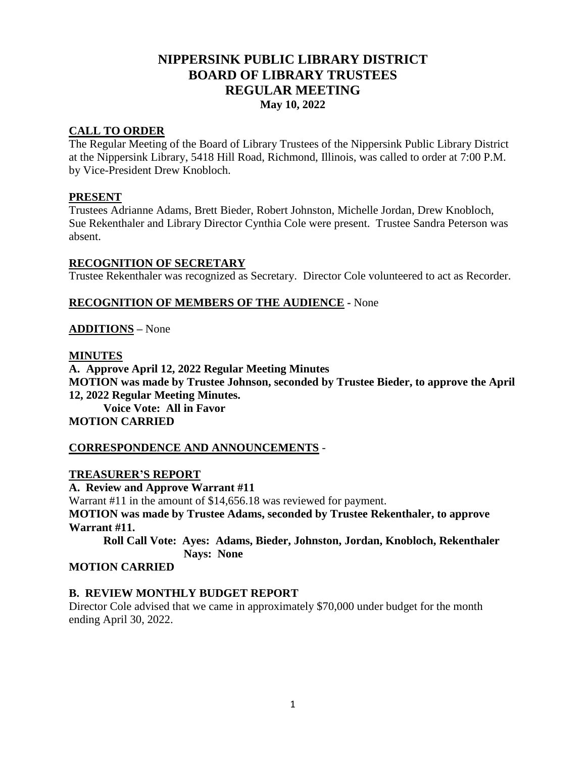# **NIPPERSINK PUBLIC LIBRARY DISTRICT BOARD OF LIBRARY TRUSTEES REGULAR MEETING May 10, 2022**

### **CALL TO ORDER**

The Regular Meeting of the Board of Library Trustees of the Nippersink Public Library District at the Nippersink Library, 5418 Hill Road, Richmond, Illinois, was called to order at 7:00 P.M. by Vice-President Drew Knobloch.

#### **PRESENT**

Trustees Adrianne Adams, Brett Bieder, Robert Johnston, Michelle Jordan, Drew Knobloch, Sue Rekenthaler and Library Director Cynthia Cole were present. Trustee Sandra Peterson was absent.

#### **RECOGNITION OF SECRETARY**

Trustee Rekenthaler was recognized as Secretary. Director Cole volunteered to act as Recorder.

### **RECOGNITION OF MEMBERS OF THE AUDIENCE -** None

### **ADDITIONS** *–* None

#### **MINUTES**

**A. Approve April 12, 2022 Regular Meeting Minutes MOTION was made by Trustee Johnson, seconded by Trustee Bieder, to approve the April 12, 2022 Regular Meeting Minutes. Voice Vote: All in Favor MOTION CARRIED**

#### **CORRESPONDENCE AND ANNOUNCEMENTS** -

#### **TREASURER'S REPORT**

**A. Review and Approve Warrant #11**

Warrant #11 in the amount of \$14,656.18 was reviewed for payment.

**MOTION was made by Trustee Adams, seconded by Trustee Rekenthaler, to approve Warrant #11.**

**Roll Call Vote: Ayes: Adams, Bieder, Johnston, Jordan, Knobloch, Rekenthaler Nays: None**

### **MOTION CARRIED**

#### **B. REVIEW MONTHLY BUDGET REPORT**

Director Cole advised that we came in approximately \$70,000 under budget for the month ending April 30, 2022.